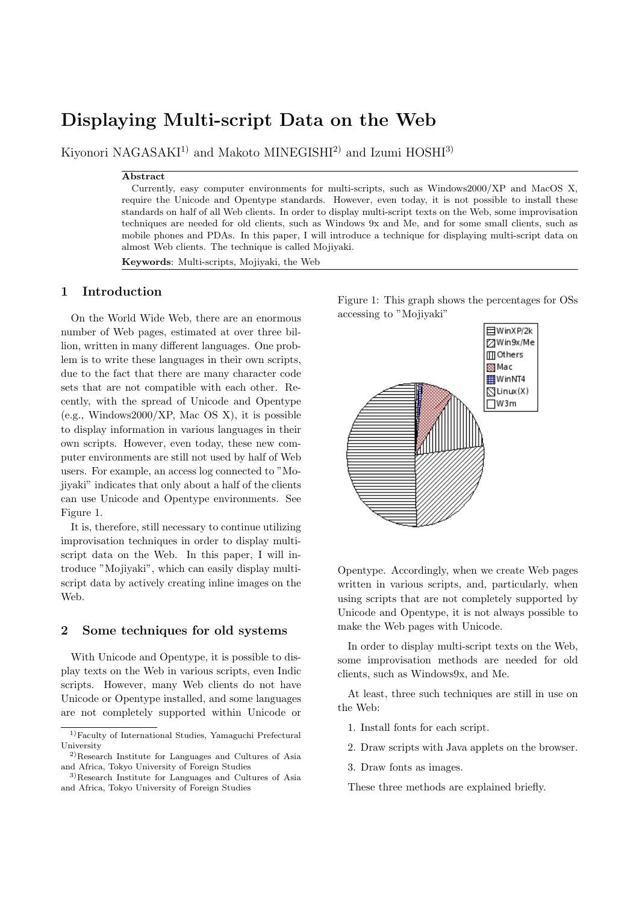# Displaying Multi-script Data on the Web

Kiyonori NAGASAKI<sup>1)</sup> and Makoto MINEGISHI<sup>2)</sup> and Izumi HOSHI<sup>3)</sup>

#### Abstract

Currently, easy computer environments for multi-scripts, such as Windows2000/XP and MacOS X, require the Unicode and Opentype standards. However, even today, it is not possible to install these standards on half of all Web clients. In order to display multi-script texts on the Web, some improvisation techniques are needed for old clients, such as Windows 9x and Me, and for some small clients, such as mobile phones and PDAs. In this paper, I will introduce a technique for displaying multi-script data on almost Web clients. The technique is called Mojiyaki.

Keywords: Multi-scripts, Mojiyaki, the Web

## 1 Introduction

On the World Wide Web, there are an enormous number of Web pages, estimated at over three billion, written in many different languages. One problem is to write these languages in their own scripts, due to the fact that there are many character code sets that are not compatible with each other. Recently, with the spread of Unicode and Opentype (e.g., Windows2000/XP, Mac OS X), it is possible to display information in various languages in their own scripts. However, even today, these new computer environments are still not used by half of Web users. For example, an access log connected to "Mojiyaki" indicates that only about a half of the clients can use Unicode and Opentype environments. See Figure 1.

It is, therefore, still necessary to continue utilizing improvisation techniques in order to display multiscript data on the Web. In this paper, I will introduce "Mojiyaki", which can easily display multiscript data by actively creating inline images on the Web.

#### 2 Some techniques for old systems

With Unicode and Opentype, it is possible to display texts on the Web in various scripts, even Indic scripts. However, many Web clients do not have Unicode or Opentype installed, and some languages are not completely supported within Unicode or Figure 1: This graph shows the percentages for OSs accessing to "Mojiyaki"



Opentype. Accordingly, when we create Web pages written in various scripts, and, particularly, when using scripts that are not completely supported by Unicode and Opentype, it is not always possible to make the Web pages with Unicode.

In order to display multi-script texts on the Web, some improvisation methods are needed for old clients, such as Windows9x, and Me.

At least, three such techniques are still in use on the Web:

- 1. Install fonts for each script.
- 2. Draw scripts with Java applets on the browser.
- 3. Draw fonts as images.

These three methods are explained briefly.

<sup>1)</sup>Faculty of International Studies, Yamaguchi Prefectural University

 $^{\rm 2)}\textsc{Research}$  Institute for Languages and Cultures of Asia and Africa, Tokyo University of Foreign Studies

<sup>3)</sup>Research Institute for Languages and Cultures of Asia and Africa, Tokyo University of Foreign Studies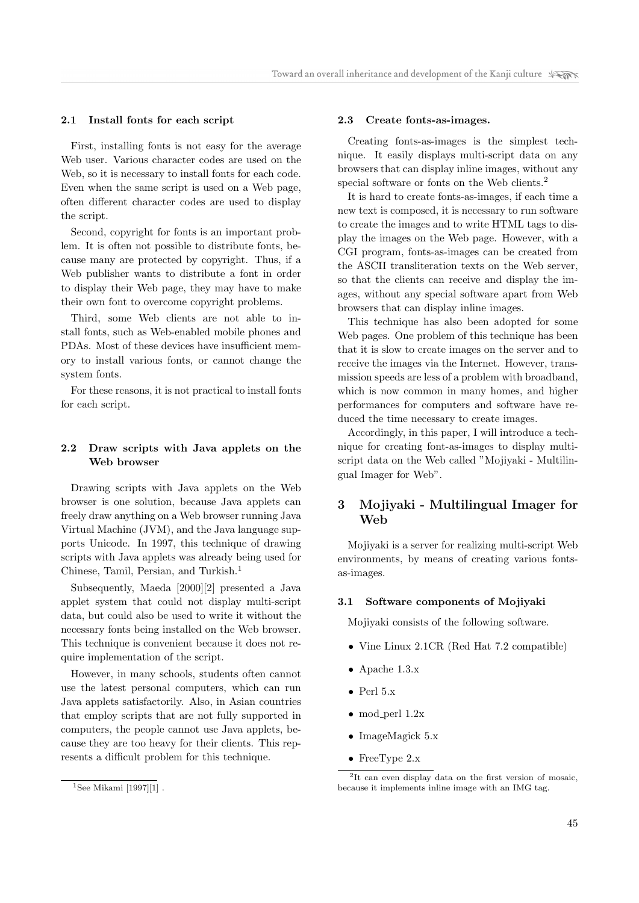#### 2.1 Install fonts for each script

First, installing fonts is not easy for the average Web user. Various character codes are used on the Web, so it is necessary to install fonts for each code. Even when the same script is used on a Web page, often different character codes are used to display the script.

Second, copyright for fonts is an important problem. It is often not possible to distribute fonts, because many are protected by copyright. Thus, if a Web publisher wants to distribute a font in order to display their Web page, they may have to make their own font to overcome copyright problems.

Third, some Web clients are not able to install fonts, such as Web-enabled mobile phones and PDAs. Most of these devices have insufficient memory to install various fonts, or cannot change the system fonts.

For these reasons, it is not practical to install fonts for each script.

## 2.2 Draw scripts with Java applets on the Web browser

Drawing scripts with Java applets on the Web browser is one solution, because Java applets can freely draw anything on a Web browser running Java Virtual Machine (JVM), and the Java language supports Unicode. In 1997, this technique of drawing scripts with Java applets was already being used for Chinese, Tamil, Persian, and Turkish.<sup>1</sup>

Subsequently, Maeda [2000][2] presented a Java applet system that could not display multi-script data, but could also be used to write it without the necessary fonts being installed on the Web browser. This technique is convenient because it does not require implementation of the script.

However, in many schools, students often cannot use the latest personal computers, which can run Java applets satisfactorily. Also, in Asian countries that employ scripts that are not fully supported in computers, the people cannot use Java applets, because they are too heavy for their clients. This represents a difficult problem for this technique.

#### 2.3 Create fonts-as-images.

Creating fonts-as-images is the simplest technique. It easily displays multi-script data on any browsers that can display inline images, without any special software or fonts on the Web clients.<sup>2</sup>

It is hard to create fonts-as-images, if each time a new text is composed, it is necessary to run software to create the images and to write HTML tags to display the images on the Web page. However, with a CGI program, fonts-as-images can be created from the ASCII transliteration texts on the Web server, so that the clients can receive and display the images, without any special software apart from Web browsers that can display inline images.

This technique has also been adopted for some Web pages. One problem of this technique has been that it is slow to create images on the server and to receive the images via the Internet. However, transmission speeds are less of a problem with broadband, which is now common in many homes, and higher performances for computers and software have reduced the time necessary to create images.

Accordingly, in this paper, I will introduce a technique for creating font-as-images to display multiscript data on the Web called "Mojiyaki - Multilingual Imager for Web".

# 3 Mojiyaki - Multilingual Imager for Web

Mojiyaki is a server for realizing multi-script Web environments, by means of creating various fontsas-images.

#### 3.1 Software components of Mojiyaki

Mojiyaki consists of the following software.

- Vine Linux 2.1CR (Red Hat 7.2 compatible)
- Apache 1.3.x
- Perl  $5.x$
- mod\_perl 1.2x
- ImageMagick 5.x
- FreeType 2.x

<sup>&</sup>lt;sup>1</sup>See Mikami [1997][1].

<sup>2</sup> It can even display data on the first version of mosaic, because it implements inline image with an IMG tag.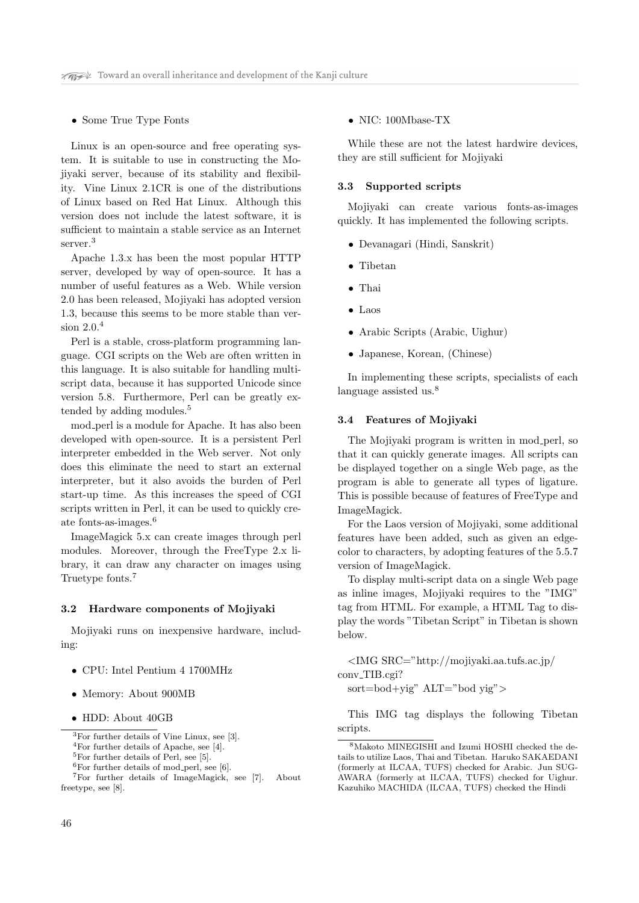#### • Some True Type Fonts

Linux is an open-source and free operating system. It is suitable to use in constructing the Mojiyaki server, because of its stability and flexibility. Vine Linux 2.1CR is one of the distributions of Linux based on Red Hat Linux. Although this version does not include the latest software, it is sufficient to maintain a stable service as an Internet server.<sup>3</sup>

Apache 1.3.x has been the most popular HTTP server, developed by way of open-source. It has a number of useful features as a Web. While version 2.0 has been released, Mojiyaki has adopted version 1.3, because this seems to be more stable than version 2.0.<sup>4</sup>

Perl is a stable, cross-platform programming language. CGI scripts on the Web are often written in this language. It is also suitable for handling multiscript data, because it has supported Unicode since version 5.8. Furthermore, Perl can be greatly extended by adding modules.<sup>5</sup>

mod perl is a module for Apache. It has also been developed with open-source. It is a persistent Perl interpreter embedded in the Web server. Not only does this eliminate the need to start an external interpreter, but it also avoids the burden of Perl start-up time. As this increases the speed of CGI scripts written in Perl, it can be used to quickly create fonts-as-images.<sup>6</sup>

ImageMagick 5.x can create images through perl modules. Moreover, through the FreeType 2.x library, it can draw any character on images using Truetype fonts.<sup>7</sup>

#### 3.2 Hardware components of Mojiyaki

Mojiyaki runs on inexpensive hardware, including:

- CPU: Intel Pentium 4 1700MHz
- Memory: About 900MB
- HDD: About 40GB

• NIC: 100Mbase-TX

While these are not the latest hardwire devices, they are still sufficient for Mojiyaki

#### 3.3 Supported scripts

Mojiyaki can create various fonts-as-images quickly. It has implemented the following scripts.

- Devanagari (Hindi, Sanskrit)
- Tibetan
- Thai
- Laos
- Arabic Scripts (Arabic, Uighur)
- Japanese, Korean, (Chinese)

In implementing these scripts, specialists of each language assisted us.<sup>8</sup>

#### 3.4 Features of Mojiyaki

The Mojiyaki program is written in mod perl, so that it can quickly generate images. All scripts can be displayed together on a single Web page, as the program is able to generate all types of ligature. This is possible because of features of FreeType and ImageMagick.

For the Laos version of Mojiyaki, some additional features have been added, such as given an edgecolor to characters, by adopting features of the 5.5.7 version of ImageMagick.

To display multi-script data on a single Web page as inline images, Mojiyaki requires to the "IMG" tag from HTML. For example, a HTML Tag to display the words "Tibetan Script" in Tibetan is shown below.

<IMG SRC="http://mojiyaki.aa.tufs.ac.jp/ conv TIB.cgi?

sort=bod+yig" ALT="bod yig">

This IMG tag displays the following Tibetan scripts.

<sup>3</sup>For further details of Vine Linux, see [3].

<sup>4</sup>For further details of Apache, see [4].

 ${}^{5}$ For further details of Perl, see [5].

 ${}^{6}$ For further details of mod\_perl, see [6].

<sup>7</sup>For further details of ImageMagick, see [7]. About freetype, see [8].

<sup>8</sup>Makoto MINEGISHI and Izumi HOSHI checked the details to utilize Laos, Thai and Tibetan. Haruko SAKAEDANI (formerly at ILCAA, TUFS) checked for Arabic. Jun SUG-AWARA (formerly at ILCAA, TUFS) checked for Uighur. Kazuhiko MACHIDA (ILCAA, TUFS) checked the Hindi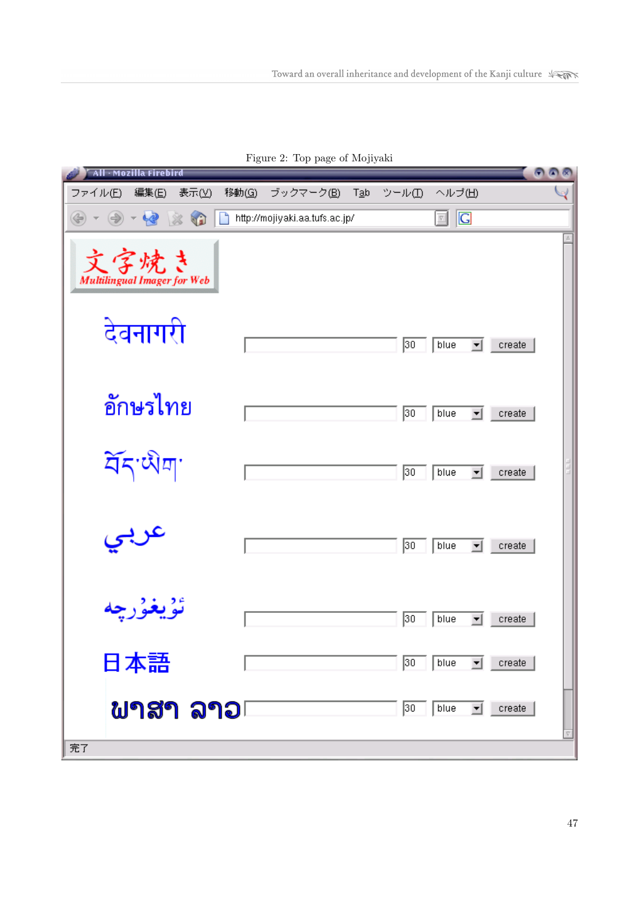Figure 2: Top page of Mojiyaki

| All - Mozilla Firebird                                                                           |  |           |     |      |        |                      |        | $\bigodot$ $\bigodot$ $\bigotimes$ |
|--------------------------------------------------------------------------------------------------|--|-----------|-----|------|--------|----------------------|--------|------------------------------------|
| 編集(E)<br>移動(G)<br>ファイル(E)<br>表示(V)                                                               |  | ブックマーク(B) | Tab | ツール① | ヘルプ(出) |                      |        |                                    |
| G <br>$-6280$<br>$\circledast$<br>n<br>http://mojiyaki.aa.tufs.ac.jp/<br>$\overline{\mathbf{v}}$ |  |           |     |      |        |                      |        |                                    |
| 文字焼き<br><b>Multilingual Imager for Web</b>                                                       |  |           |     |      |        |                      |        |                                    |
| देवनागरी                                                                                         |  |           |     | 30   | blue   | 회                    | create |                                    |
| อักษรไทย                                                                                         |  |           |     | 30   | blue   | 회                    | create |                                    |
| ৰ্শিক্'অঁশ'                                                                                      |  |           |     | 30   | blue   | $\blacktriangledown$ | create |                                    |
| عربي                                                                                             |  |           |     | 30   | blue   | ▾                    | create |                                    |
| تۇيغۇرچە                                                                                         |  |           |     | 30   | blue   | ▾                    | create |                                    |
| 日本語                                                                                              |  |           |     | 30   | blue   | ▾                    | create |                                    |
| พาสา ลาอ⊧                                                                                        |  |           |     | 30   | blue   | ▾                    | create |                                    |
| 完了                                                                                               |  |           |     |      |        |                      |        |                                    |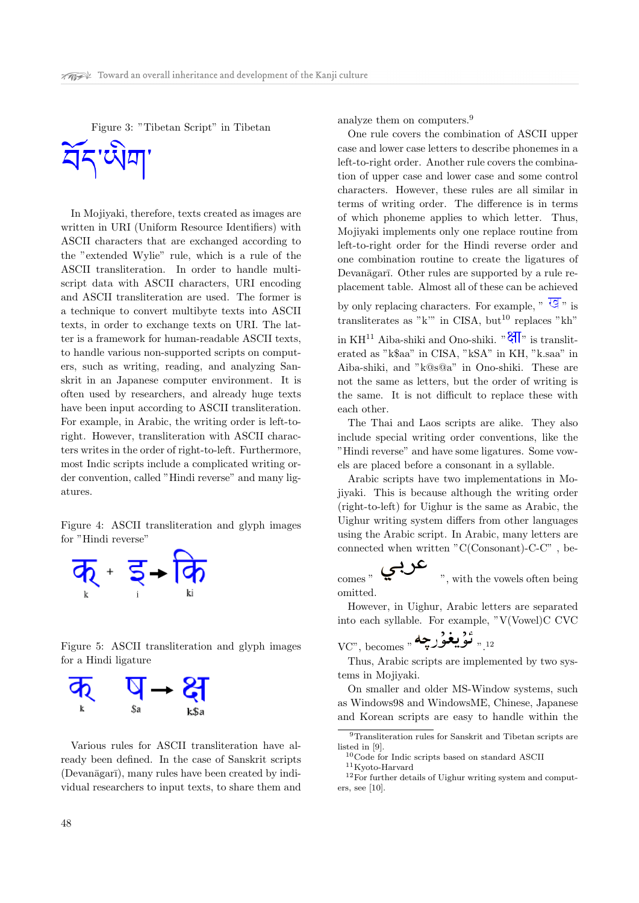Figure 3: "Tibetan Script" in Tibetan



In Mojiyaki, therefore, texts created as images are written in URI (Uniform Resource Identifiers) with ASCII characters that are exchanged according to the "extended Wylie" rule, which is a rule of the ASCII transliteration. In order to handle multiscript data with ASCII characters, URI encoding and ASCII transliteration are used. The former is a technique to convert multibyte texts into ASCII texts, in order to exchange texts on URI. The latter is a framework for human-readable ASCII texts, to handle various non-supported scripts on computers, such as writing, reading, and analyzing Sanskrit in an Japanese computer environment. It is often used by researchers, and already huge texts have been input according to ASCII transliteration. For example, in Arabic, the writing order is left-toright. However, transliteration with ASCII characters writes in the order of right-to-left. Furthermore, most Indic scripts include a complicated writing order convention, called "Hindi reverse" and many ligatures.

Figure 4: ASCII transliteration and glyph images for "Hindi reverse"



Figure 5: ASCII transliteration and glyph images for a Hindi ligature



Various rules for ASCII transliteration have already been defined. In the case of Sanskrit scripts  $(Devanāgarī)$ , many rules have been created by individual researchers to input texts, to share them and

analyze them on computers.<sup>9</sup>

One rule covers the combination of ASCII upper case and lower case letters to describe phonemes in a left-to-right order. Another rule covers the combination of upper case and lower case and some control characters. However, these rules are all similar in terms of writing order. The difference is in terms of which phoneme applies to which letter. Thus, Mojiyaki implements only one replace routine from left-to-right order for the Hindi reverse order and one combination routine to create the ligatures of Devanāgarī. Other rules are supported by a rule replacement table. Almost all of these can be achieved by only replacing characters. For example, " $\overline{\mathbb{G}}$ " is transliterates as " $k$ " in CISA, but<sup>10</sup> replaces " $kh$ " in KH<sup>11</sup> Aiba-shiki and Ono-shiki. " $\sqrt[3]{\}$ " is transliterated as "k\$aa" in CISA, "kSA" in KH, "k.saa" in Aiba-shiki, and "k@s@a" in Ono-shiki. These are not the same as letters, but the order of writing is the same. It is not difficult to replace these with each other.

The Thai and Laos scripts are alike. They also include special writing order conventions, like the "Hindi reverse" and have some ligatures. Some vowels are placed before a consonant in a syllable.

Arabic scripts have two implementations in Mojiyaki. This is because although the writing order (right-to-left) for Uighur is the same as Arabic, the Uighur writing system differs from other languages using the Arabic script. In Arabic, many letters are connected when written "C(Consonant)-C-C" , be-

comes " omitted.

However, in Uighur, Arabic letters are separated into each syllable. For example, "V(Vowel)C CVC

$$
_{\rm VC",\ becomes\,"}
$$

Thus, Arabic scripts are implemented by two systems in Mojiyaki.

On smaller and older MS-Window systems, such as Windows98 and WindowsME, Chinese, Japanese and Korean scripts are easy to handle within the

 $^9$  Transliteration rules for Sanskrit and Tibetan scripts are listed in [9].

<sup>10</sup>Code for Indic scripts based on standard ASCII <sup>11</sup>Kyoto-Harvard

<sup>12</sup>For further details of Uighur writing system and computers, see [10].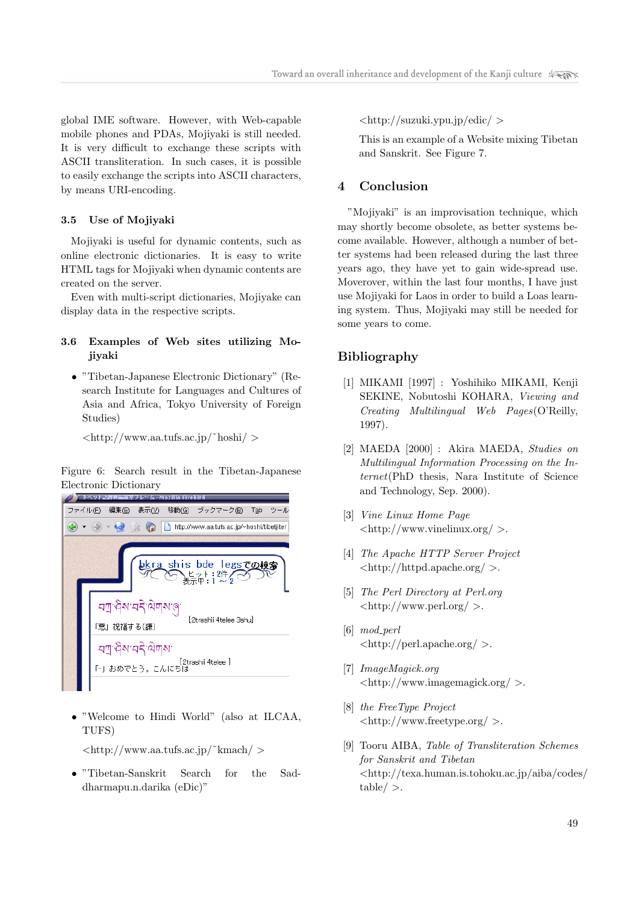global IME software. However, with Web-capable mobile phones and PDAs, Mojiyaki is still needed. It is very difficult to exchange these scripts with ASCII transliteration. In such cases, it is possible to easily exchange the scripts into ASCII characters, by means URI-encoding.

### 3.5 Use of Mojiyaki

Mojiyaki is useful for dynamic contents, such as online electronic dictionaries. It is easy to write HTML tags for Mojiyaki when dynamic contents are created on the server.

Even with multi-script dictionaries, Mojiyake can display data in the respective scripts.

# 3.6 Examples of Web sites utilizing Mojiyaki

• "Tibetan-Japanese Electronic Dictionary" (Research Institute for Languages and Cultures of Asia and Africa, Tokyo University of Foreign Studies)

 $\langle \text{http://www.aa.tufs.ac.jp/~hoshi/} \rangle$ 

## Figure 6: Search result in the Tibetan-Japanese Electronic Dictionary



• "Welcome to Hindi World" (also at ILCAA, TUFS)

 $\langle \text{http://www.aa.tufs.ac.jp/~kmach/} \rangle$ 

• "Tibetan-Sanskrit Search for the Saddharmapu.n.darika (eDic)"

 $\langle$ http://suzuki.ypu.jp/edic/  $>$ 

This is an example of a Website mixing Tibetan and Sanskrit. See Figure 7.

# 4 Conclusion

"Mojiyaki" is an improvisation technique, which may shortly become obsolete, as better systems become available. However, although a number of better systems had been released during the last three years ago, they have yet to gain wide-spread use. Moverover, within the last four months, I have just use Mojiyaki for Laos in order to build a Loas learning system. Thus, Mojiyaki may still be needed for some years to come.

# Bibliography

- [1] MIKAMI [1997] : Yoshihiko MIKAMI, Kenji SEKINE, Nobutoshi KOHARA, Viewing and Creating Multilingual Web Pages(O'Reilly, 1997).
- [2] MAEDA [2000] : Akira MAEDA, Studies on Multilingual Information Processing on the Internet(PhD thesis, Nara Institute of Science and Technology, Sep. 2000).
- [3] Vine Linux Home Page  $\langle \text{http://www.vinelinux.org/} \rangle$ .
- [4] The Apache HTTP Server Project  $\langle$ http://httpd.apache.org/  $>$ .
- [5] The Perl Directory at Perl.org  $\langle$ http://www.perl.org/  $>$ .
- $[6] \mod perl$  $\langle \text{http://perl.apache.org/} \rangle$ .
- [7] ImageMagick.org  $\langle \text{http://www.imagemagick.org/} \rangle$ .
- [8] the FreeType Project  $\langle \text{http://www.freetype.org/} \rangle.$
- [9] Tooru AIBA, Table of Transliteration Schemes for Sanskrit and Tibetan <http://texa.human.is.tohoku.ac.jp/aiba/codes/  $table/$  >.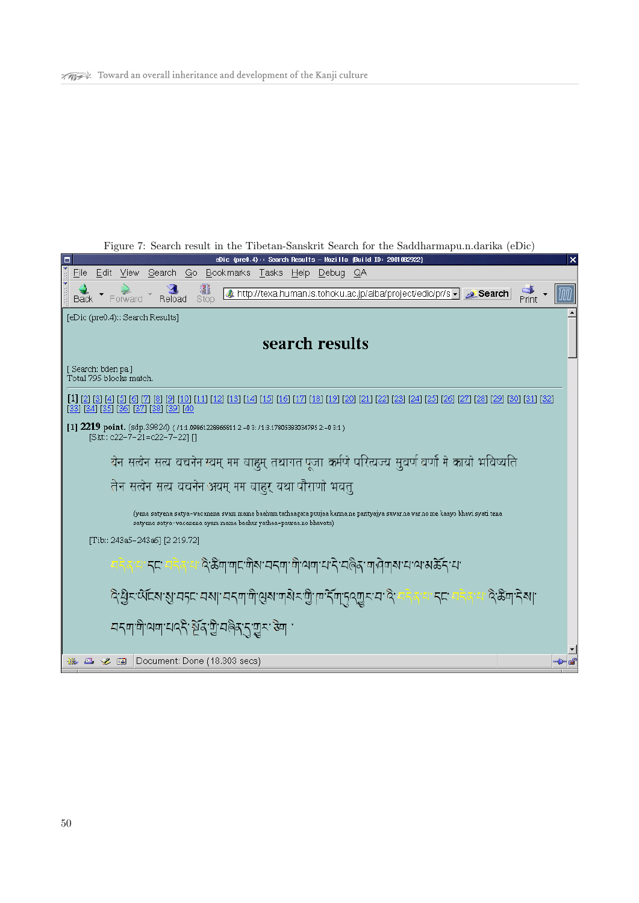| Figure 7: Search result in the Tibetan-Sanskrit Search for the Saddharmapu.n.darika (eDic)                                                                                                                               |  |  |  |  |  |  |
|--------------------------------------------------------------------------------------------------------------------------------------------------------------------------------------------------------------------------|--|--|--|--|--|--|
| eDic (pre0.4):: Search Results - Nozilla {Build ID: 2001062922}<br>⊓                                                                                                                                                     |  |  |  |  |  |  |
| Search Go<br>Bookmarks Tasks Help Debug<br>File<br>Edit View<br>QA                                                                                                                                                       |  |  |  |  |  |  |
| Search http://texa.human.is.tohoku.ac.jp/aiba/project/edic/pr/s - search<br>Reload<br>Back<br>Forward<br>Stop<br>Print                                                                                                   |  |  |  |  |  |  |
| [eDic (pre0.4):: Search Results]                                                                                                                                                                                         |  |  |  |  |  |  |
| search results                                                                                                                                                                                                           |  |  |  |  |  |  |
| [Search: bden pa]<br>Total 795 blocks match.                                                                                                                                                                             |  |  |  |  |  |  |
| 1   [2] [3] [4] [5] [6] [7] [8] [9] [10] [11] [12] [13] [14] [15] [16] [17] [18] [19] [20] [21] [22] [23] [24] [25]<br>[29] [30] [31] [32]<br>- 1261<br>1281<br>1271<br>$[34]$ $[35]$ $[36]$ $[37]$ $[38]$ $[39]$ $[40]$ |  |  |  |  |  |  |
| [1] 2219 point. (sdp.39824) (71:1.09861228866811 2:-0 3:71:3.17805383034795 2:-0 3:1)<br>[Skt:: c22-7-21=c22-7-22] []                                                                                                    |  |  |  |  |  |  |
| येन सत्येन सत्य वचनेन स्वम् मम बाह्रम् तथागत पूजा कर्मणे परित्यज्य सुवर्ण वर्णो मे कायो भविष्यति                                                                                                                         |  |  |  |  |  |  |
| तेन सत्येन सत्य वचनेन अयम् मम बाहुर् यथा पौराणो भवतु                                                                                                                                                                     |  |  |  |  |  |  |
| (yena satyena satya-vacanena svam mama baahum tathaagata puujaa karma.ne parityajya suvar.na var.no me kaayo bhavi.syati tena<br>satyena satya-vacanena ayam mama baahur yathaa=pauraa.no bhavatu)                       |  |  |  |  |  |  |
| [Tib:: 243a5-243a6] [2 219.72]                                                                                                                                                                                           |  |  |  |  |  |  |
| ैं। केला वाद वोश यदवा वो अवा य दे यलेक वाजेवाश य अ अर्केंद य                                                                                                                                                             |  |  |  |  |  |  |
| ي: ﴿ وَالْكَابِرَ الْمَرْكَةِ وَاللَّهِ وَاللَّهِ وَاللَّهُ وَاللَّهُ وَاللَّهُ وَالَّذِينَ وَاللَّ<br>दे ऊँग देश<br>55                                                                                                  |  |  |  |  |  |  |
| न्ननामोज्जनासद्दे, ब्रेज्.क्री.नड्रेश्रे.री.क्री क्रुवी .                                                                                                                                                                |  |  |  |  |  |  |
| Document: Done (18.303 secs)<br>EA                                                                                                                                                                                       |  |  |  |  |  |  |

 $\overline{\mathsf{x}}$ 

 $\overline{\mathbb{I}\mathbb{I}\mathbb{I}}$ 

⊸⊳d

▣

 $\Box$